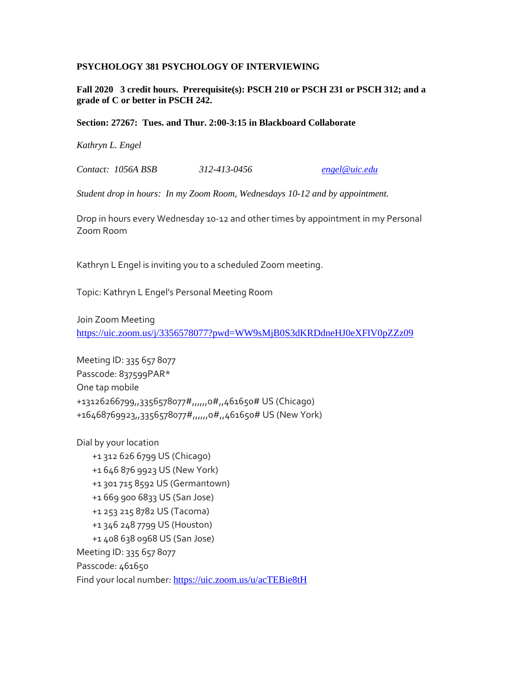### **PSYCHOLOGY 381 PSYCHOLOGY OF INTERVIEWING**

**Fall 2020 3 credit hours. Prerequisite(s): PSCH 210 or PSCH 231 or PSCH 312; and a grade of C or better in PSCH 242.** 

#### **Section: 27267: Tues. and Thur. 2:00-3:15 in Blackboard Collaborate**

*Kathryn L. Engel* 

*Contact: 1056A BSB 312-413-0456 [engel@uic.edu](mailto:engel@uic.edu)*

*Student drop in hours: In my Zoom Room, Wednesdays 10-12 and by appointment.*

Drop in hours every Wednesday 10-12 and other times by appointment in my Personal Zoom Room

Kathryn L Engel is inviting you to a scheduled Zoom meeting.

Topic: Kathryn L Engel's Personal Meeting Room

Join Zoom Meeting <https://uic.zoom.us/j/3356578077?pwd=WW9sMjB0S3dKRDdneHJ0eXFIV0pZZz09>

Meeting ID: 335 657 8077 Passcode: 837599PAR\* One tap mobile +13126266799,,3356578077#,,,,,,0#,,461650# US (Chicago) +16468769923,,3356578077#,,,,,0#,,461650# US (New York)

Dial by your location +1 312 626 6799 US (Chicago) +1 646 876 9923 US (New York) +1 301 715 8592 US (Germantown) +1 669 900 6833 US (San Jose) +1 253 215 8782 US (Tacoma) +1 346 248 7799 US (Houston) +1 408 638 0968 US (San Jose) Meeting ID: 335 657 8077 Passcode: 461650 Find your local number: <https://uic.zoom.us/u/acTEBie8tH>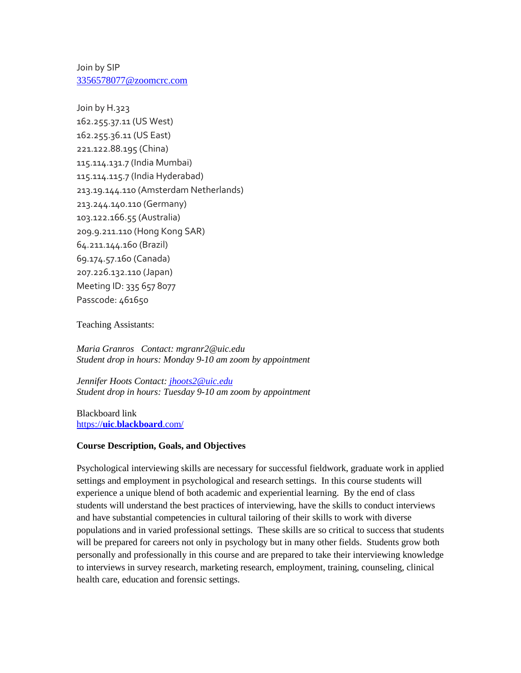Join by SIP [3356578077@zoomcrc.com](mailto:3356578077@zoomcrc.com)

Join by H.323 162.255.37.11 (US West) 162.255.36.11 (US East) 221.122.88.195 (China) 115.114.131.7 (India Mumbai) 115.114.115.7 (India Hyderabad) 213.19.144.110 (Amsterdam Netherlands) 213.244.140.110 (Germany) 103.122.166.55 (Australia) 209.9.211.110 (Hong Kong SAR) 64.211.144.160 (Brazil) 69.174.57.160 (Canada) 207.226.132.110 (Japan) Meeting ID: 335 657 8077 Passcode: 461650

Teaching Assistants:

*Maria Granros Contact: mgranr2@uic.edu Student drop in hours: Monday 9-10 am zoom by appointment*

*Jennifer Hoots Contact: [jhoots2@uic.edu](mailto:jhoots2@uic.edu) Student drop in hours: Tuesday 9-10 am zoom by appointment* 

Blackboard link https://**uic**.**[blackboard](https://uic.blackboard.com/)**.com/

### **Course Description, Goals, and Objectives**

Psychological interviewing skills are necessary for successful fieldwork, graduate work in applied settings and employment in psychological and research settings. In this course students will experience a unique blend of both academic and experiential learning. By the end of class students will understand the best practices of interviewing, have the skills to conduct interviews and have substantial competencies in cultural tailoring of their skills to work with diverse populations and in varied professional settings. These skills are so critical to success that students will be prepared for careers not only in psychology but in many other fields. Students grow both personally and professionally in this course and are prepared to take their interviewing knowledge to interviews in survey research, marketing research, employment, training, counseling, clinical health care, education and forensic settings.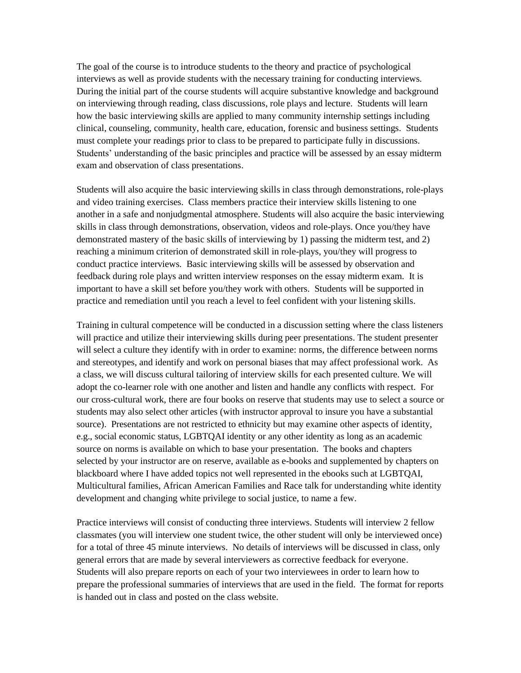The goal of the course is to introduce students to the theory and practice of psychological interviews as well as provide students with the necessary training for conducting interviews. During the initial part of the course students will acquire substantive knowledge and background on interviewing through reading, class discussions, role plays and lecture. Students will learn how the basic interviewing skills are applied to many community internship settings including clinical, counseling, community, health care, education, forensic and business settings. Students must complete your readings prior to class to be prepared to participate fully in discussions. Students' understanding of the basic principles and practice will be assessed by an essay midterm exam and observation of class presentations.

Students will also acquire the basic interviewing skills in class through demonstrations, role-plays and video training exercises. Class members practice their interview skills listening to one another in a safe and nonjudgmental atmosphere. Students will also acquire the basic interviewing skills in class through demonstrations, observation, videos and role-plays. Once you/they have demonstrated mastery of the basic skills of interviewing by 1) passing the midterm test, and 2) reaching a minimum criterion of demonstrated skill in role-plays, you/they will progress to conduct practice interviews. Basic interviewing skills will be assessed by observation and feedback during role plays and written interview responses on the essay midterm exam. It is important to have a skill set before you/they work with others. Students will be supported in practice and remediation until you reach a level to feel confident with your listening skills.

Training in cultural competence will be conducted in a discussion setting where the class listeners will practice and utilize their interviewing skills during peer presentations. The student presenter will select a culture they identify with in order to examine: norms, the difference between norms and stereotypes, and identify and work on personal biases that may affect professional work. As a class, we will discuss cultural tailoring of interview skills for each presented culture. We will adopt the co-learner role with one another and listen and handle any conflicts with respect. For our cross-cultural work, there are four books on reserve that students may use to select a source or students may also select other articles (with instructor approval to insure you have a substantial source). Presentations are not restricted to ethnicity but may examine other aspects of identity, e.g., social economic status, LGBTQAI identity or any other identity as long as an academic source on norms is available on which to base your presentation. The books and chapters selected by your instructor are on reserve, available as e-books and supplemented by chapters on blackboard where I have added topics not well represented in the ebooks such at LGBTQAI, Multicultural families, African American Families and Race talk for understanding white identity development and changing white privilege to social justice, to name a few.

Practice interviews will consist of conducting three interviews. Students will interview 2 fellow classmates (you will interview one student twice, the other student will only be interviewed once) for a total of three 45 minute interviews. No details of interviews will be discussed in class, only general errors that are made by several interviewers as corrective feedback for everyone. Students will also prepare reports on each of your two interviewees in order to learn how to prepare the professional summaries of interviews that are used in the field. The format for reports is handed out in class and posted on the class website.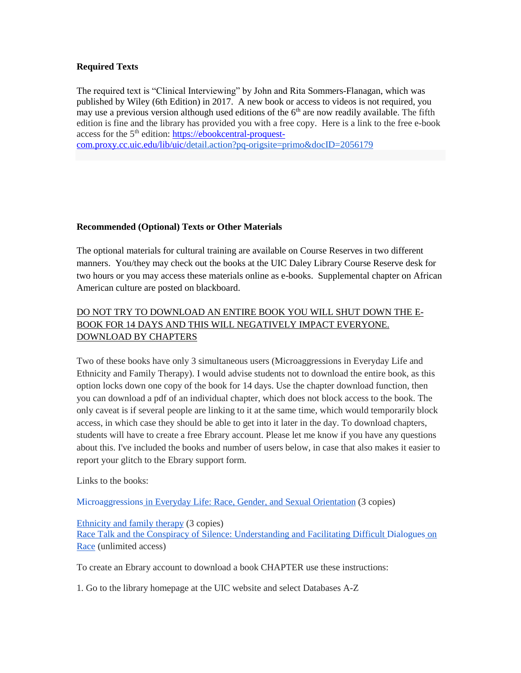### **Required Texts**

The required text is "Clinical Interviewing" by John and Rita Sommers-Flanagan, which was published by Wiley (6th Edition) in 2017. A new book or access to videos is not required, you may use a previous version although used editions of the  $6<sup>th</sup>$  are now readily available. The fifth edition is fine and the library has provided you with a free copy. Here is a link to the free e-book access for the 5<sup>th</sup> edition: [https://ebookcentral-proquest-](https://ebookcentral-proquest-/)

[com.proxy.cc.uic.edu/lib/uic/d](http://com.proxy.cc.uic.edu/lib/uic/)etail.action?pq-origsite=primo&docID=2056179

### **Recommended (Optional) Texts or Other Materials**

The optional materials for cultural training are available on Course Reserves in two different manners. You/they may check out the books at the UIC Daley Library Course Reserve desk for two hours or you may access these materials online as e-books. Supplemental chapter on African American culture are posted on blackboard.

# DO NOT TRY TO DOWNLOAD AN ENTIRE BOOK YOU WILL SHUT DOWN THE E-BOOK FOR 14 DAYS AND THIS WILL NEGATIVELY IMPACT EVERYONE. DOWNLOAD BY CHAPTERS

Two of these books have only 3 simultaneous users (Microaggressions in Everyday Life and Ethnicity and Family Therapy). I would advise students not to download the entire book, as this option locks down one copy of the book for 14 days. Use the chapter download function, then you can download a pdf of an individual chapter, which does not block access to the book. The only caveat is if several people are linking to it at the same time, which would temporarily block access, in which case they should be able to get into it later in the day. To download chapters, students will have to create a free Ebrary account. Please let me know if you have any questions about this. I've included the books and number of users below, in case that also makes it easier to report your glitch to the Ebrary support form.

Links to the books:

[Microaggressions](http://site.ebrary.com.proxy.cc.uic.edu/lib/uic/detail.action?docID=10366615) in Everyday Life: Race, Gender, and Sexual Orientation (3 copies)

[Ethnicity](http://site.ebrary.com.proxy.cc.uic.edu/lib/uic/detail.action?docID=10468541) and family therapy (3 copies)

Race Talk and the Conspiracy of Silence: [Understanding](http://site.ebrary.com.proxy.cc.uic.edu/lib/uic/detail.action?docID=11007281) and Facilitating Difficult Dialogues on [Race](http://site.ebrary.com.proxy.cc.uic.edu/lib/uic/detail.action?docID=11007281) (unlimited access)

To create an Ebrary account to download a book CHAPTER use these instructions:

1. Go to the library homepage at the UIC website and select Databases A-Z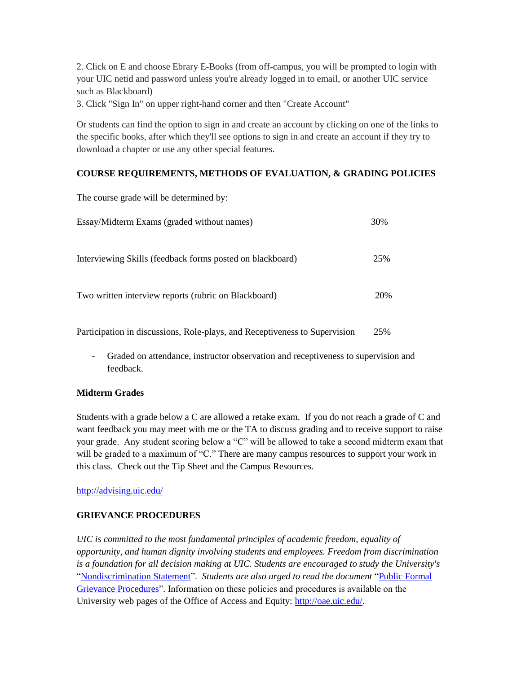2. Click on E and choose Ebrary E-Books (from off-campus, you will be prompted to login with your UIC netid and password unless you're already logged in to email, or another UIC service such as Blackboard)

3. Click "Sign In" on upper right-hand corner and then "Create Account"

Or students can find the option to sign in and create an account by clicking on one of the links to the specific books, after which they'll see options to sign in and create an account if they try to download a chapter or use any other special features.

## **COURSE REQUIREMENTS, METHODS OF EVALUATION, & GRADING POLICIES**

| The course grade will be determined by:                   |     |
|-----------------------------------------------------------|-----|
| Essay/Midterm Exams (graded without names)                | 30% |
| Interviewing Skills (feedback forms posted on blackboard) | 25% |
| Two written interview reports (rubric on Blackboard)      | 20% |

Participation in discussions, Role-plays, and Receptiveness to Supervision 25%

- Graded on attendance, instructor observation and receptiveness to supervision and feedback.

## **Midterm Grades**

Students with a grade below a C are allowed a retake exam. If you do not reach a grade of C and want feedback you may meet with me or the TA to discuss grading and to receive support to raise your grade. Any student scoring below a "C" will be allowed to take a second midterm exam that will be graded to a maximum of "C." There are many campus resources to support your work in this class. Check out the Tip Sheet and the Campus Resources.

<http://advising.uic.edu/>

## **GRIEVANCE PROCEDURES**

*UIC is committed to the most fundamental principles of academic freedom, equality of opportunity, and human dignity involving students and employees. Freedom from discrimination is a foundation for all decision making at UIC. Students are encouraged to study the University's* ["Nondiscrimination Statement"](http://www.uic.edu/depts/oar/campus_policies/nondiscrimination_statement.html). *Students are also urged to read the document* ["Public Formal](http://www.uic.edu/depts/oar/campus_policies/public_grievance_procedures.html)  [Grievance Procedures"](http://www.uic.edu/depts/oar/campus_policies/public_grievance_procedures.html). Information on these policies and procedures is available on the University web pages of the Office of Access and Equity: [http://oae.uic.edu/.](http://oae.uic.edu/)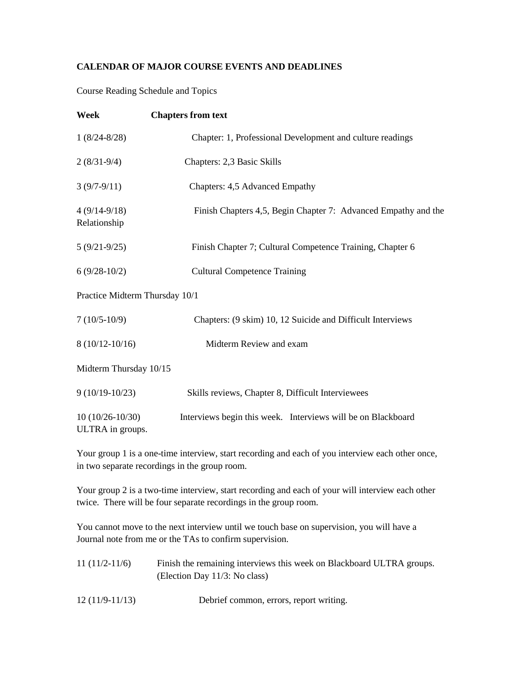## **CALENDAR OF MAJOR COURSE EVENTS AND DEADLINES**

Course Reading Schedule and Topics

| Week                                  | <b>Chapters from text</b>                                      |
|---------------------------------------|----------------------------------------------------------------|
| $1(8/24-8/28)$                        | Chapter: 1, Professional Development and culture readings      |
| $2(8/31-9/4)$                         | Chapters: 2,3 Basic Skills                                     |
| $3(9/7-9/11)$                         | Chapters: 4,5 Advanced Empathy                                 |
| $4(9/14-9/18)$<br>Relationship        | Finish Chapters 4,5, Begin Chapter 7: Advanced Empathy and the |
| $5(9/21-9/25)$                        | Finish Chapter 7; Cultural Competence Training, Chapter 6      |
| $6(9/28-10/2)$                        | <b>Cultural Competence Training</b>                            |
| Practice Midterm Thursday 10/1        |                                                                |
| $7(10/5-10/9)$                        | Chapters: (9 skim) 10, 12 Suicide and Difficult Interviews     |
| $8(10/12-10/16)$                      | Midterm Review and exam                                        |
| Midterm Thursday 10/15                |                                                                |
| $9(10/19-10/23)$                      | Skills reviews, Chapter 8, Difficult Interviewees              |
| $10(10/26-10/30)$<br>ULTRA in groups. | Interviews begin this week. Interviews will be on Blackboard   |

Your group 1 is a one-time interview, start recording and each of you interview each other once, in two separate recordings in the group room.

Your group 2 is a two-time interview, start recording and each of your will interview each other twice. There will be four separate recordings in the group room.

You cannot move to the next interview until we touch base on supervision, you will have a Journal note from me or the TAs to confirm supervision.

| $11(11/2-11/6)$ | Finish the remaining interviews this week on Blackboard ULTRA groups. |
|-----------------|-----------------------------------------------------------------------|
|                 | (Election Day 11/3: No class)                                         |

12 (11/9-11/13) Debrief common, errors, report writing.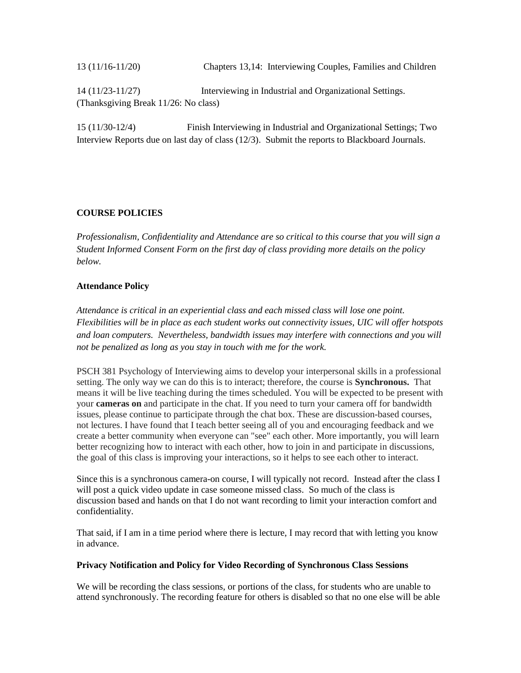13 (11/16-11/20) Chapters 13,14: Interviewing Couples, Families and Children 14 (11/23-11/27) Interviewing in Industrial and Organizational Settings. (Thanksgiving Break 11/26: No class)

15 (11/30-12/4) Finish Interviewing in Industrial and Organizational Settings; Two Interview Reports due on last day of class (12/3). Submit the reports to Blackboard Journals.

# **COURSE POLICIES**

*Professionalism, Confidentiality and Attendance are so critical to this course that you will sign a Student Informed Consent Form on the first day of class providing more details on the policy below.* 

### **Attendance Policy**

*Attendance is critical in an experiential class and each missed class will lose one point. Flexibilities will be in place as each student works out connectivity issues, UIC will offer hotspots and loan computers. Nevertheless, bandwidth issues may interfere with connections and you will not be penalized as long as you stay in touch with me for the work.*

PSCH 381 Psychology of Interviewing aims to develop your interpersonal skills in a professional setting. The only way we can do this is to interact; therefore, the course is **Synchronous.** That means it will be live teaching during the times scheduled. You will be expected to be present with your **cameras on** and participate in the chat. If you need to turn your camera off for bandwidth issues, please continue to participate through the chat box. These are discussion-based courses, not lectures. I have found that I teach better seeing all of you and encouraging feedback and we create a better community when everyone can "see" each other. More importantly, you will learn better recognizing how to interact with each other, how to join in and participate in discussions, the goal of this class is improving your interactions, so it helps to see each other to interact.

Since this is a synchronous camera-on course, I will typically not record. Instead after the class I will post a quick video update in case someone missed class. So much of the class is discussion based and hands on that I do not want recording to limit your interaction comfort and confidentiality.

That said, if I am in a time period where there is lecture, I may record that with letting you know in advance.

### **Privacy Notification and Policy for Video Recording of Synchronous Class Sessions**

We will be recording the class sessions, or portions of the class, for students who are unable to attend synchronously. The recording feature for others is disabled so that no one else will be able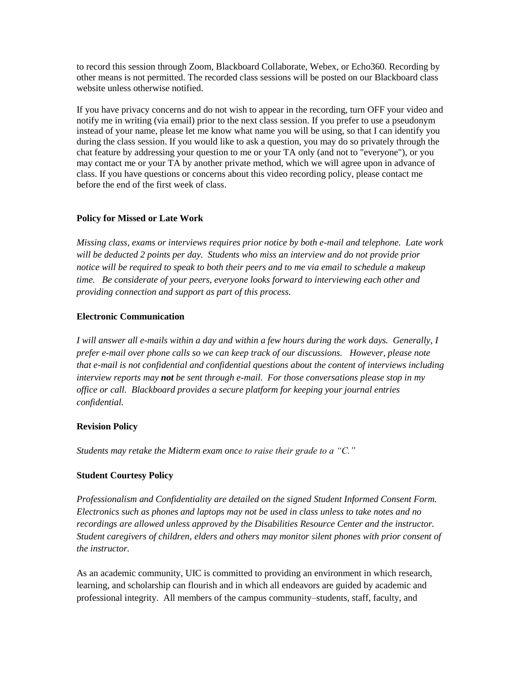to record this session through Zoom, Blackboard Collaborate, Webex, or Echo360. Recording by other means is not permitted. The recorded class sessions will be posted on our Blackboard class website unless otherwise notified.

If you have privacy concerns and do not wish to appear in the recording, turn OFF your video and notify me in writing (via email) prior to the next class session. If you prefer to use a pseudonym instead of your name, please let me know what name you will be using, so that I can identify you during the class session. If you would like to ask a question, you may do so privately through the chat feature by addressing your question to me or your TA only (and not to "everyone"), or you may contact me or your TA by another private method, which we will agree upon in advance of class. If you have questions or concerns about this video recording policy, please contact me before the end of the first week of class.

### **Policy for Missed or Late Work**

*Missing class, exams or interviews requires prior notice by both e-mail and telephone. Late work will be deducted 2 points per day. Students who miss an interview and do not provide prior notice will be required to speak to both their peers and to me via email to schedule a makeup time. Be considerate of your peers, everyone looks forward to interviewing each other and providing connection and support as part of this process.* 

### **Electronic Communication**

*I will answer all e-mails within a day and within a few hours during the work days. Generally, I prefer e-mail over phone calls so we can keep track of our discussions. However, please note that e-mail is not confidential and confidential questions about the content of interviews including interview reports may not be sent through e-mail. For those conversations please stop in my office or call. Blackboard provides a secure platform for keeping your journal entries confidential.* 

## **Revision Policy**

*Students may retake the Midterm exam once to raise their grade to a "C."* 

## **Student Courtesy Policy**

*Professionalism and Confidentiality are detailed on the signed Student Informed Consent Form. Electronics such as phones and laptops may not be used in class unless to take notes and no recordings are allowed unless approved by the Disabilities Resource Center and the instructor. Student caregivers of children, elders and others may monitor silent phones with prior consent of the instructor.* 

As an academic community, UIC is committed to providing an environment in which research, learning, and scholarship can flourish and in which all endeavors are guided by academic and professional integrity. All members of the campus community–students, staff, faculty, and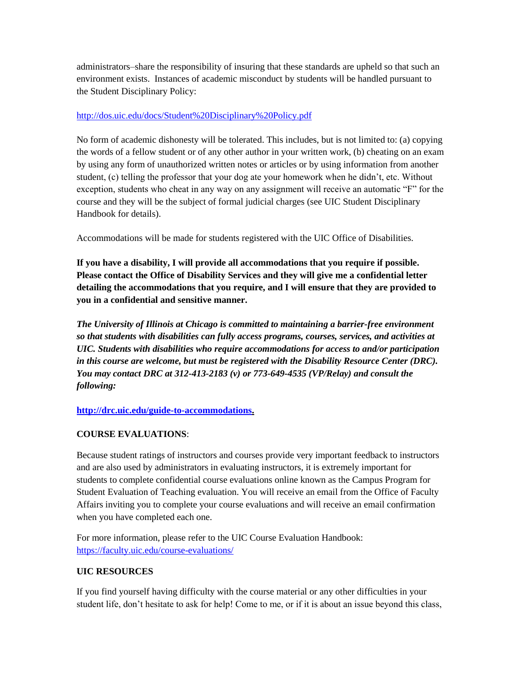administrators–share the responsibility of insuring that these standards are upheld so that such an environment exists. Instances of academic misconduct by students will be handled pursuant to the Student Disciplinary Policy:

### <http://dos.uic.edu/docs/Student%20Disciplinary%20Policy.pdf>

No form of academic dishonesty will be tolerated. This includes, but is not limited to: (a) copying the words of a fellow student or of any other author in your written work, (b) cheating on an exam by using any form of unauthorized written notes or articles or by using information from another student, (c) telling the professor that your dog ate your homework when he didn't, etc. Without exception, students who cheat in any way on any assignment will receive an automatic "F" for the course and they will be the subject of formal judicial charges (see UIC Student Disciplinary Handbook for details).

Accommodations will be made for students registered with the UIC Office of Disabilities.

**If you have a disability, I will provide all accommodations that you require if possible. Please contact the Office of Disability Services and they will give me a confidential letter detailing the accommodations that you require, and I will ensure that they are provided to you in a confidential and sensitive manner.** 

*The University of Illinois at Chicago is committed to maintaining a barrier-free environment so that students with disabilities can fully access programs, courses, services, and activities at UIC. Students with disabilities who require accommodations for access to and/or participation in this course are welcome, but must be registered with the Disability Resource Center (DRC). You may contact DRC at 312-413-2183 (v) or 773-649-4535 (VP/Relay) and consult the following:*

## **[http://drc.uic.edu/guide-to-accommodations.](http://drc.uic.edu/guide-to-accommodations)**

## **COURSE EVALUATIONS**:

Because student ratings of instructors and courses provide very important feedback to instructors and are also used by administrators in evaluating instructors, it is extremely important for students to complete confidential course evaluations online known as the Campus Program for Student Evaluation of Teaching evaluation. You will receive an email from the Office of Faculty Affairs inviting you to complete your course evaluations and will receive an email confirmation when you have completed each one.

For more information, please refer to the UIC Course Evaluation Handbook: <https://faculty.uic.edu/course-evaluations/>

## **UIC RESOURCES**

If you find yourself having difficulty with the course material or any other difficulties in your student life, don't hesitate to ask for help! Come to me, or if it is about an issue beyond this class,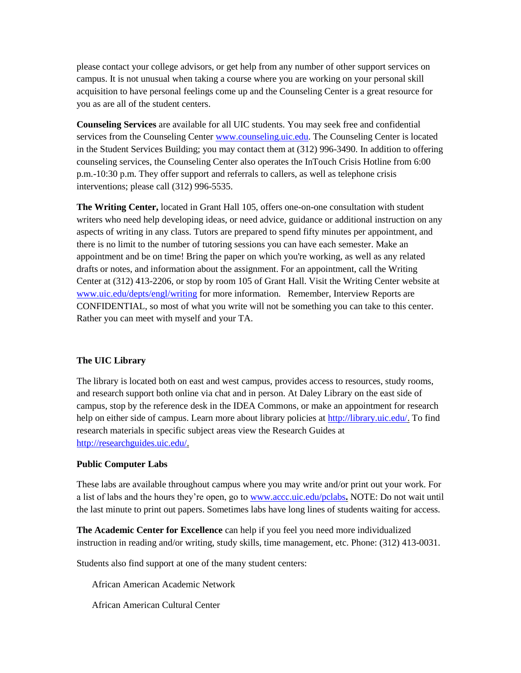please contact your college advisors, or get help from any number of other support services on campus. It is not unusual when taking a course where you are working on your personal skill acquisition to have personal feelings come up and the Counseling Center is a great resource for you as are all of the student centers.

**Counseling Services** are available for all UIC students. You may seek free and confidential services from the Counseling Center [www.counseling.uic.edu.](http://www.counseling.uic.edu/) The Counseling Center is located in the Student Services Building; you may contact them at (312) 996-3490. In addition to offering counseling services, the Counseling Center also operates the InTouch Crisis Hotline from 6:00 p.m.-10:30 p.m. They offer support and referrals to callers, as well as telephone crisis interventions; please call (312) 996-5535.

**The Writing Center,** located in Grant Hall 105, offers one-on-one consultation with student writers who need help developing ideas, or need advice, guidance or additional instruction on any aspects of writing in any class. Tutors are prepared to spend fifty minutes per appointment, and there is no limit to the number of tutoring sessions you can have each semester. Make an appointment and be on time! Bring the paper on which you're working, as well as any related drafts or notes, and information about the assignment. For an appointment, call the Writing Center at (312) 413-2206, or stop by room 105 of Grant Hall. Visit the Writing Center website at [www.uic.edu/depts/engl/writing](http://www.uic.edu/depts/engl/writing) for more information. Remember, Interview Reports are CONFIDENTIAL, so most of what you write will not be something you can take to this center. Rather you can meet with myself and your TA.

## **The UIC Library**

The library is located both on east and west campus, provides access to resources, study rooms, and research support both online via chat and in person. At Daley Library on the east side of campus, stop by the reference desk in the IDEA Commons, or make an appointment for research help on either side of campus. Learn more about library policies at [http://library.uic.edu/.](http://library.uic.edu/) To find research materials in specific subject areas view the Research Guides at [http://researchguides.uic.edu/.](http://researchguides.uic.edu/)

## **Public Computer Labs**

These labs are available throughout campus where you may write and/or print out your work. For a list of labs and the hours they're open, go to [www.accc.uic.edu/pclabs](http://www.accc.uic.edu/pclabs)**.** NOTE: Do not wait until the last minute to print out papers. Sometimes labs have long lines of students waiting for access.

**The Academic Center for Excellence** can help if you feel you need more individualized instruction in reading and/or writing, study skills, time management, etc. Phone: (312) 413-0031.

Students also find support at one of the many student centers:

African American Academic Network

African American Cultural Center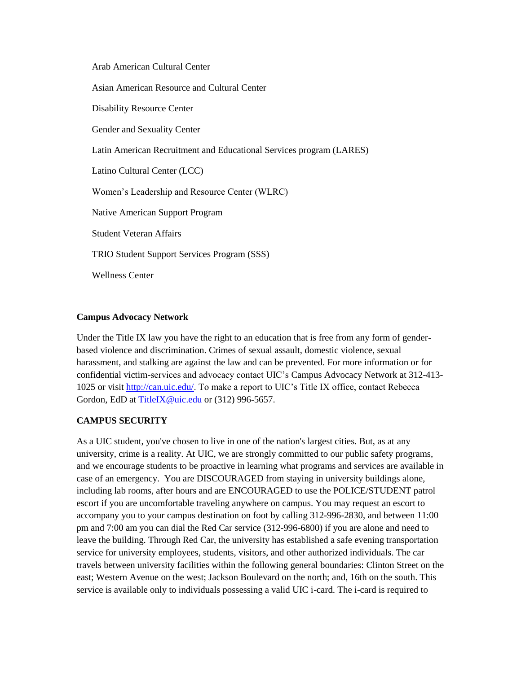Arab American Cultural Center

Asian American Resource and Cultural Center

Disability Resource Center

Gender and Sexuality Center

Latin American Recruitment and Educational Services program (LARES)

Latino Cultural Center (LCC)

Women's Leadership and Resource Center (WLRC)

Native American Support Program

Student Veteran Affairs

TRIO Student Support Services Program (SSS)

Wellness Center

### **Campus Advocacy Network**

Under the Title IX law you have the right to an education that is free from any form of genderbased violence and discrimination. Crimes of sexual assault, domestic violence, sexual harassment, and stalking are against the law and can be prevented. For more information or for confidential victim-services and advocacy contact UIC's Campus Advocacy Network at 312-413- 1025 or visit [http://can.uic.edu/.](http://can.uic.edu/) To make a report to UIC's Title IX office, contact Rebecca Gordon, EdD a[t TitleIX@uic.edu](mailto:TitleIX@uic.edu) or (312) 996-5657.

## **CAMPUS SECURITY**

As a UIC student, you've chosen to live in one of the nation's largest cities. But, as at any university, crime is a reality. At UIC, we are strongly committed to our public safety programs, and we encourage students to be proactive in learning what programs and services are available in case of an emergency. You are DISCOURAGED from staying in university buildings alone, including lab rooms, after hours and are ENCOURAGED to use the POLICE/STUDENT patrol escort if you are uncomfortable traveling anywhere on campus. You may request an escort to accompany you to your campus destination on foot by calling 312-996-2830, and between 11:00 pm and 7:00 am you can dial the Red Car service (312-996-6800) if you are alone and need to leave the building. Through Red Car, the university has established a safe evening transportation service for university employees, students, visitors, and other authorized individuals. The car travels between university facilities within the following general boundaries: Clinton Street on the east; Western Avenue on the west; Jackson Boulevard on the north; and, 16th on the south. This service is available only to individuals possessing a valid UIC i-card. The i-card is required to